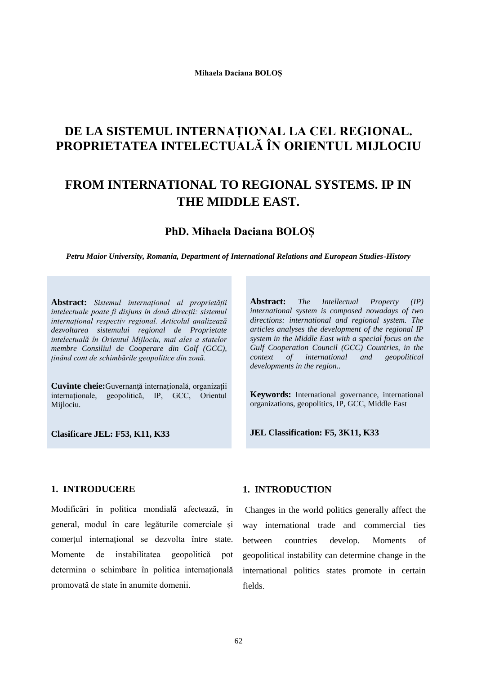# **DE LA SISTEMUL INTERNAȚIONAL LA CEL REGIONAL. PROPRIETATEA INTELECTUALĂ ÎN ORIENTUL MIJLOCIU**

# **FROM INTERNATIONAL TO REGIONAL SYSTEMS. IP IN THE MIDDLE EAST.**

## **PhD. Mihaela Daciana BOLOȘ**

*Petru Maior University, Romania, Department of International Relations and European Studies-History*

**Abstract:** *Sistemul internațional al proprietății intelectuale poate fi disjuns in două direcții: sistemul internațional respectiv regional. Articolul analizează dezvoltarea sistemului regional de Proprietate intelectuală în Orientul Mijlociu, mai ales a statelor membre Consiliul de Cooperare din Golf (GCC), ținând cont de schimbările geopolitice din zonă.* 

**Cuvinte cheie:**Guvernanţă internațională, organizații internaționale, geopolitică, IP, GCC, Orientul Mijlociu.

**Clasificare JEL: F53, K11, K33**

**Abstract:** *The Intellectual Property (IP) international system is composed nowadays of two directions: international and regional system. The articles analyses the development of the regional IP system in the Middle East with a special focus on the Gulf Cooperation Council (GCC) Countries, in the context of international and geopolitical developments in the region..* 

**Keywords:** International governance, international organizations, geopolitics, IP, GCC, Middle East

**JEL Classification: F5, 3K11, K33** 

## **1. INTRODUCERE**

.

Modificări în politica mondială afectează, în general, modul în care legăturile comerciale și comerțul internațional se dezvolta între state. Momente de instabilitatea geopolitică pot determina o schimbare în politica internațională promovată de state în anumite domenii.

## **1. INTRODUCTION**

Changes in the world politics generally affect the way international trade and commercial ties between countries develop. Moments of geopolitical instability can determine change in the international politics states promote in certain fields.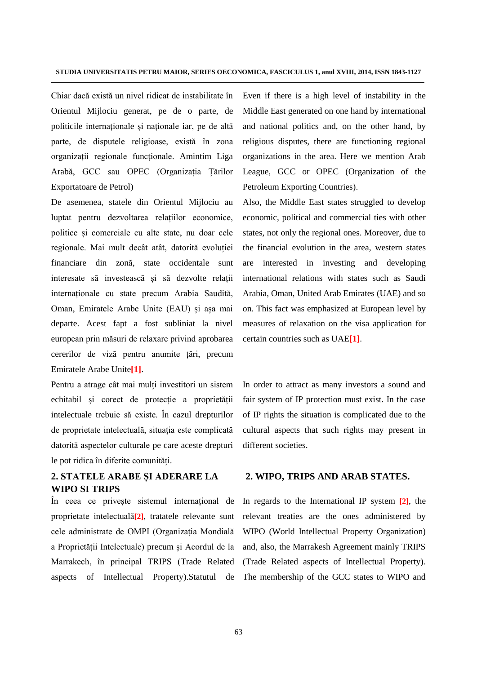Chiar dacă există un nivel ridicat de instabilitate în Orientul Mijlociu generat, pe de o parte, de politicile internaționale și naționale iar, pe de altă parte, de disputele religioase, există în zona organizații regionale funcționale. Amintim Liga Arabă, GCC sau OPEC (Organizația Țărilor Exportatoare de Petrol)

De asemenea, statele din Orientul Mijlociu au luptat pentru dezvoltarea relațiilor economice, politice și comerciale cu alte state, nu doar cele regionale. Mai mult decât atât, datorită evoluției financiare din zonă, state occidentale sunt interesate să investească și să dezvolte relații internaționale cu state precum Arabia Saudită, Oman, Emiratele Arabe Unite (EAU) și așa mai departe. Acest fapt a fost subliniat la nivel european prin măsuri de relaxare privind aprobarea cererilor de viză pentru anumite țări, precum Emiratele Arabe Unite**[1]**.

Pentru a atrage cât mai mulți investitori un sistem echitabil și corect de protecție a proprietății intelectuale trebuie să existe. În cazul drepturilor de proprietate intelectuală, situația este complicată datorită aspectelor culturale pe care aceste drepturi le pot ridica în diferite comunități.

## **2. STATELE ARABE ȘI ADERARE LA WIPO SI TRIPS**

În ceea ce privește sistemul internațional de proprietate intelectuală**[2]**, tratatele relevante sunt cele administrate de OMPI (Organizația Mondială a Proprietății Intelectuale) precum și Acordul de la Marrakech, în principal TRIPS (Trade Related aspects of Intellectual Property).Statutul de

Even if there is a high level of instability in the Middle East generated on one hand by international and national politics and, on the other hand, by religious disputes, there are functioning regional organizations in the area. Here we mention Arab League, GCC or OPEC (Organization of the Petroleum Exporting Countries).

Also, the Middle East states struggled to develop economic, political and commercial ties with other states, not only the regional ones. Moreover, due to the financial evolution in the area, western states are interested in investing and developing international relations with states such as Saudi Arabia, Oman, United Arab Emirates (UAE) and so on. This fact was emphasized at European level by measures of relaxation on the visa application for certain countries such as UAE**[1]**.

In order to attract as many investors a sound and fair system of IP protection must exist. In the case of IP rights the situation is complicated due to the cultural aspects that such rights may present in different societies.

#### **2. WIPO, TRIPS AND ARAB STATES.**

In regards to the International IP system **[2]**, the relevant treaties are the ones administered by WIPO (World Intellectual Property Organization) and, also, the Marrakesh Agreement mainly TRIPS (Trade Related aspects of Intellectual Property). The membership of the GCC states to WIPO and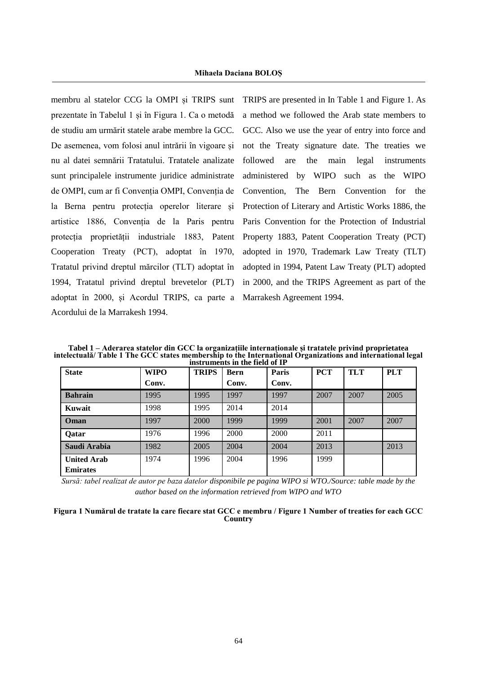membru al statelor CCG la OMPI și TRIPS sunt prezentate în Tabelul 1 și în Figura 1. Ca o metodă de studiu am urmărit statele arabe membre la GCC. De asemenea, vom folosi anul intrării în vigoare și nu al datei semnării Tratatului. Tratatele analizate sunt principalele instrumente juridice administrate de OMPI, cum ar fi Convenția OMPI, Convenția de la Berna pentru protecția operelor literare și artistice 1886, Convenția de la Paris pentru protecția proprietății industriale 1883, Patent Cooperation Treaty (PCT), adoptat în 1970, Tratatul privind dreptul mărcilor (TLT) adoptat în 1994, Tratatul privind dreptul brevetelor (PLT) adoptat în 2000, și Acordul TRIPS, ca parte a Marrakesh Agreement 1994. Acordului de la Marrakesh 1994.

.

TRIPS are presented in In Table 1 and Figure 1. As a method we followed the Arab state members to GCC. Also we use the year of entry into force and not the Treaty signature date. The treaties we followed are the main legal instruments administered by WIPO such as the WIPO Convention, The Bern Convention for the Protection of Literary and Artistic Works 1886, the Paris Convention for the Protection of Industrial Property 1883, Patent Cooperation Treaty (PCT) adopted in 1970, Trademark Law Treaty (TLT) adopted in 1994, Patent Law Treaty (PLT) adopted in 2000, and the TRIPS Agreement as part of the

**Tabel 1 – Aderarea statelor din GCC la organizațiile internaționale și tratatele privind proprietatea intelectuală/ Table 1 The GCC states membership to the International Organizations and international legal instruments in the field of IP**

| mou amendo m che nera oi n |             |              |             |       |            |            |            |  |
|----------------------------|-------------|--------------|-------------|-------|------------|------------|------------|--|
| <b>State</b>               | <b>WIPO</b> | <b>TRIPS</b> | <b>Bern</b> | Paris | <b>PCT</b> | <b>TLT</b> | <b>PLT</b> |  |
|                            | Conv.       |              | Conv.       | Conv. |            |            |            |  |
| <b>Bahrain</b>             | 1995        | 1995         | 1997        | 1997  | 2007       | 2007       | 2005       |  |
| Kuwait                     | 1998        | 1995         | 2014        | 2014  |            |            |            |  |
| Oman                       | 1997        | 2000         | 1999        | 1999  | 2001       | 2007       | 2007       |  |
| <b>Qatar</b>               | 1976        | 1996         | 2000        | 2000  | 2011       |            |            |  |
| Saudi Arabia               | 1982        | 2005         | 2004        | 2004  | 2013       |            | 2013       |  |
| <b>United Arab</b>         | 1974        | 1996         | 2004        | 1996  | 1999       |            |            |  |
| <b>Emirates</b>            |             |              |             |       |            |            |            |  |

*Sursă: tabel realizat de autor pe baza datelor disponibile pe pagina WIPO si WTO./Source: table made by the author based on the information retrieved from WIPO and WTO*

| Figura 1 Numărul de tratate la care fiecare stat GCC e membru / Figure 1 Number of treaties for each GCC |  |  |
|----------------------------------------------------------------------------------------------------------|--|--|
| Country                                                                                                  |  |  |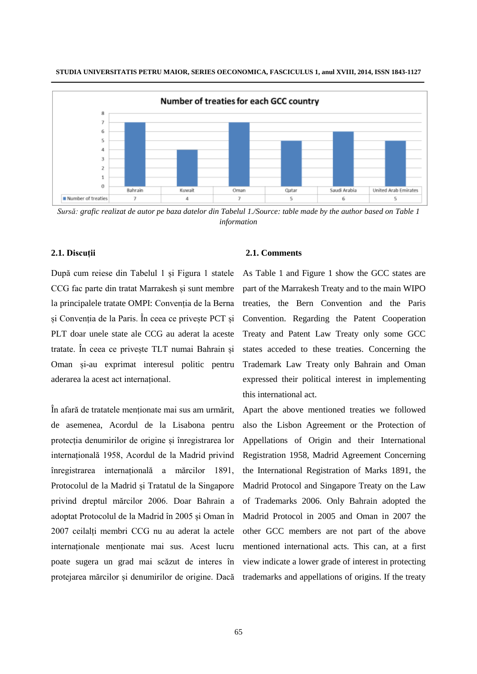

*Sursă: grafic realizat de autor pe baza datelor din Tabelul 1./Source: table made by the author based on Table 1 information*

### **2.1. Discuții**

După cum reiese din Tabelul 1 și Figura 1 statele CCG fac parte din tratat Marrakesh și sunt membre la principalele tratate OMPI: Convenția de la Berna și Convenția de la Paris. În ceea ce privește PCT și PLT doar unele state ale CCG au aderat la aceste tratate. În ceea ce privește TLT numai Bahrain și Oman și-au exprimat interesul politic pentru aderarea la acest act internațional.

În afară de tratatele menționate mai sus am urmărit, de asemenea, Acordul de la Lisabona pentru protecția denumirilor de origine și înregistrarea lor internațională 1958, Acordul de la Madrid privind înregistrarea internațională a mărcilor 1891, Protocolul de la Madrid și Tratatul de la Singapore privind dreptul mărcilor 2006. Doar Bahrain a adoptat Protocolul de la Madrid în 2005 și Oman în 2007 ceilalți membri CCG nu au aderat la actele internaționale menționate mai sus. Acest lucru poate sugera un grad mai scăzut de interes în protejarea mărcilor și denumirilor de origine. Dacă

#### **2.1. Comments**

As Table 1 and Figure 1 show the GCC states are part of the Marrakesh Treaty and to the main WIPO treaties, the Bern Convention and the Paris Convention. Regarding the Patent Cooperation Treaty and Patent Law Treaty only some GCC states acceded to these treaties. Concerning the Trademark Law Treaty only Bahrain and Oman expressed their political interest in implementing this international act.

Apart the above mentioned treaties we followed also the Lisbon Agreement or the Protection of Appellations of Origin and their International Registration 1958, Madrid Agreement Concerning the International Registration of Marks 1891, the Madrid Protocol and Singapore Treaty on the Law of Trademarks 2006. Only Bahrain adopted the Madrid Protocol in 2005 and Oman in 2007 the other GCC members are not part of the above mentioned international acts. This can, at a first view indicate a lower grade of interest in protecting trademarks and appellations of origins. If the treaty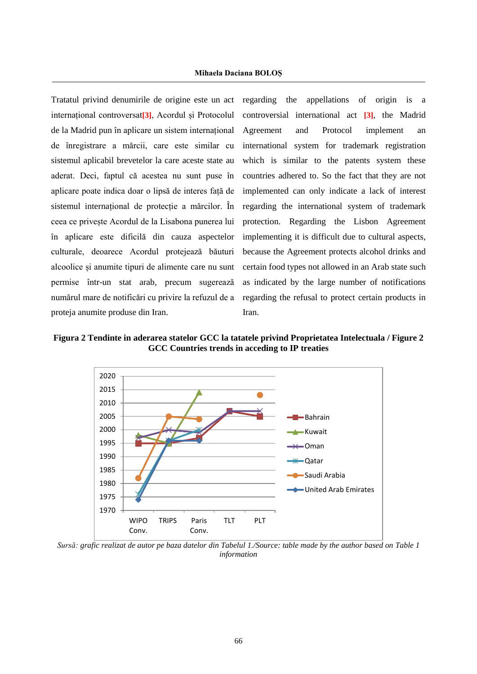Tratatul privind denumirile de origine este un act internațional controversat**[3]**, Acordul și Protocolul de la Madrid pun în aplicare un sistem internațional de înregistrare a mărcii, care este similar cu sistemul aplicabil brevetelor la care aceste state au aderat. Deci, faptul că acestea nu sunt puse în aplicare poate indica doar o lipsă de interes față de sistemul internațional de protecție a mărcilor. În ceea ce privește Acordul de la Lisabona punerea lui în aplicare este dificilă din cauza aspectelor culturale, deoarece Acordul protejează băuturi alcoolice și anumite tipuri de alimente care nu sunt permise într-un stat arab, precum sugerează numărul mare de notificări cu privire la refuzul de a proteja anumite produse din Iran.

.

regarding the appellations of origin is a controversial international act **[3]**, the Madrid Agreement and Protocol implement an international system for trademark registration which is similar to the patents system these countries adhered to. So the fact that they are not implemented can only indicate a lack of interest regarding the international system of trademark protection. Regarding the Lisbon Agreement implementing it is difficult due to cultural aspects, because the Agreement protects alcohol drinks and certain food types not allowed in an Arab state such as indicated by the large number of notifications regarding the refusal to protect certain products in Iran.

**Figura 2 Tendinte in aderarea statelor GCC la tatatele privind Proprietatea Intelectuala / Figure 2 GCC Countries trends in acceding to IP treaties** 



*Sursă: grafic realizat de autor pe baza datelor din Tabelul 1./Source: table made by the author based on Table 1 information*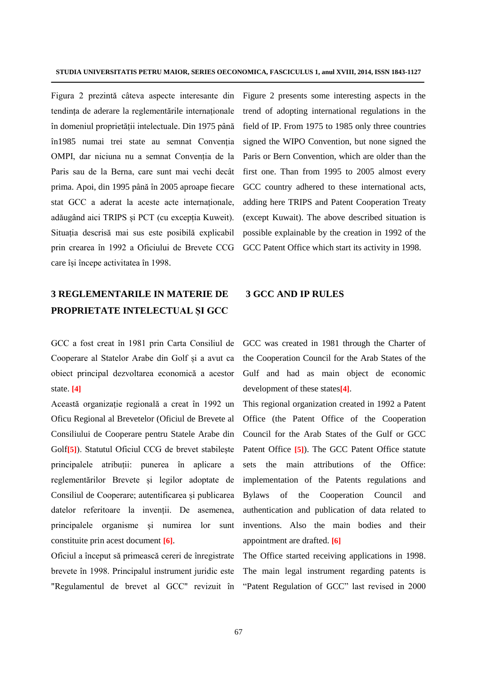Figura 2 prezintă câteva aspecte interesante din tendința de aderare la reglementările internaționale în domeniul proprietății intelectuale. Din 1975 până în1985 numai trei state au semnat Convenția OMPI, dar niciuna nu a semnat Convenția de la Paris sau de la Berna, care sunt mai vechi decât prima. Apoi, din 1995 până în 2005 aproape fiecare stat GCC a aderat la aceste acte internaționale, adăugând aici TRIPS și PCT (cu excepția Kuweit). Situația descrisă mai sus este posibilă explicabil prin crearea în 1992 a Oficiului de Brevete CCG care își începe activitatea în 1998.

# **3 REGLEMENTARILE IN MATERIE DE PROPRIETATE INTELECTUAL ȘI GCC**

GCC a fost creat în 1981 prin Carta Consiliul de Cooperare al Statelor Arabe din Golf și a avut ca obiect principal dezvoltarea economică a acestor state. **[4]**

Această organizație regională a creat în 1992 un Oficu Regional al Brevetelor (Oficiul de Brevete al Consiliului de Cooperare pentru Statele Arabe din Golf**[5]**). Statutul Oficiul CCG de brevet stabilește principalele atribuții: punerea în aplicare a reglementărilor Brevete și legilor adoptate de Consiliul de Cooperare; autentificarea și publicarea datelor referitoare la invenții. De asemenea, principalele organisme și numirea lor sunt constituite prin acest document **[6]**.

Oficiul a început să primească cereri de înregistrate brevete în 1998. Principalul instrument juridic este "Regulamentul de brevet al GCC" revizuit în Figure 2 presents some interesting aspects in the trend of adopting international regulations in the field of IP. From 1975 to 1985 only three countries signed the WIPO Convention, but none signed the Paris or Bern Convention, which are older than the first one. Than from 1995 to 2005 almost every GCC country adhered to these international acts, adding here TRIPS and Patent Cooperation Treaty (except Kuwait). The above described situation is possible explainable by the creation in 1992 of the GCC Patent Office which start its activity in 1998.

## **3 GCC AND IP RULES**

GCC was created in 1981 through the Charter of the Cooperation Council for the Arab States of the Gulf and had as main object de economic development of these states**[4]**.

This regional organization created in 1992 a Patent Office (the Patent Office of the Cooperation Council for the Arab States of the Gulf or GCC Patent Office **[5]**). The GCC Patent Office statute sets the main attributions of the Office: implementation of the Patents regulations and Bylaws of the Cooperation Council and authentication and publication of data related to inventions. Also the main bodies and their appointment are drafted. **[6]**

The Office started receiving applications in 1998. The main legal instrument regarding patents is "Patent Regulation of GCC" last revised in 2000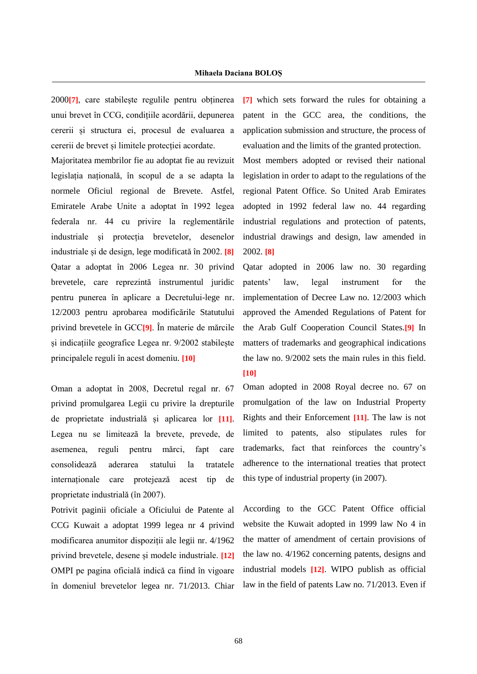2000**[7]**, care stabilește regulile pentru obținerea unui brevet în CCG, condițiile acordării, depunerea cererii și structura ei, procesul de evaluarea a cererii de brevet și limitele protecției acordate.

.

Majoritatea membrilor fie au adoptat fie au revizuit legislația națională, în scopul de a se adapta la normele Oficiul regional de Brevete. Astfel, Emiratele Arabe Unite a adoptat în 1992 legea federala nr. 44 cu privire la reglementările industriale și protecția brevetelor, desenelor industriale și de design, lege modificată în 2002. **[8]** Qatar a adoptat în 2006 Legea nr. 30 privind brevetele, care reprezintă instrumentul juridic pentru punerea în aplicare a Decretului-lege nr. 12/2003 pentru aprobarea modificările Statutului privind brevetele în GCC**[9]**. În materie de mărcile și indicațiile geografice Legea nr. 9/2002 stabilește principalele reguli în acest domeniu. **[10]**

Oman a adoptat în 2008, Decretul regal nr. 67 privind promulgarea Legii cu privire la drepturile de proprietate industrială și aplicarea lor **[11]**. Legea nu se limitează la brevete, prevede, de asemenea, reguli pentru mărci, fapt care consolidează aderarea statului la tratatele internaționale care protejează acest tip de proprietate industrială (în 2007).

Potrivit paginii oficiale a Oficiului de Patente al CCG Kuwait a adoptat 1999 legea nr 4 privind modificarea anumitor dispoziții ale legii nr. 4/1962 privind brevetele, desene și modele industriale. **[12]** OMPI pe pagina oficială indică ca fiind în vigoare în domeniul brevetelor legea nr. 71/2013. Chiar **[7]** which sets forward the rules for obtaining a patent in the GCC area, the conditions, the application submission and structure, the process of evaluation and the limits of the granted protection. Most members adopted or revised their national legislation in order to adapt to the regulations of the regional Patent Office. So United Arab Emirates adopted in 1992 federal law no. 44 regarding industrial regulations and protection of patents, industrial drawings and design, law amended in

2002. **[8]**

Qatar adopted in 2006 law no. 30 regarding patents' law, legal instrument for the implementation of Decree Law no. 12/2003 which approved the Amended Regulations of Patent for the Arab Gulf Cooperation Council States.**[9]** In matters of trademarks and geographical indications the law no. 9/2002 sets the main rules in this field. **[10]**

Oman adopted in 2008 Royal decree no. 67 on promulgation of the law on Industrial Property Rights and their Enforcement **[11]**. The law is not limited to patents, also stipulates rules for trademarks, fact that reinforces the country's adherence to the international treaties that protect this type of industrial property (in 2007).

According to the GCC Patent Office official website the Kuwait adopted in 1999 law No 4 in the matter of amendment of certain provisions of the law no. 4/1962 concerning patents, designs and industrial models **[12]**. WIPO publish as official law in the field of patents Law no. 71/2013. Even if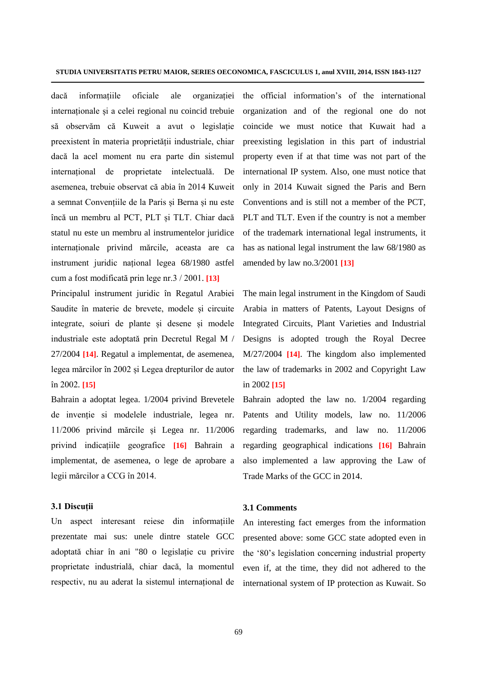dacă informațiile oficiale ale organizației internaționale și a celei regional nu coincid trebuie să observăm că Kuweit a avut o legislație preexistent în materia proprietății industriale, chiar dacă la acel moment nu era parte din sistemul internațional de proprietate intelectuală. De asemenea, trebuie observat că abia în 2014 Kuweit a semnat Convențiile de la Paris și Berna și nu este încă un membru al PCT, PLT și TLT. Chiar dacă statul nu este un membru al instrumentelor juridice internaționale privind mărcile, aceasta are ca instrument juridic național legea 68/1980 astfel cum a fost modificată prin lege nr.3 / 2001. **[13]**

Principalul instrument juridic în Regatul Arabiei Saudite în materie de brevete, modele și circuite integrate, soiuri de plante și desene și modele industriale este adoptată prin Decretul Regal M / 27/2004 **[14]**. Regatul a implementat, de asemenea, legea mărcilor în 2002 și Legea drepturilor de autor în 2002. **[15]**

Bahrain a adoptat legea. 1/2004 privind Brevetele de invenție si modelele industriale, legea nr. 11/2006 privind mărcile și Legea nr. 11/2006 privind indicațiile geografice **[16]** Bahrain a implementat, de asemenea, o lege de aprobare a legii mărcilor a CCG în 2014.

#### **3.1 Discuții**

Un aspect interesant reiese din informațiile prezentate mai sus: unele dintre statele GCC adoptată chiar în ani "80 o legislație cu privire proprietate industrială, chiar dacă, la momentul respectiv, nu au aderat la sistemul internațional de

the official information's of the international organization and of the regional one do not coincide we must notice that Kuwait had a preexisting legislation in this part of industrial property even if at that time was not part of the international IP system. Also, one must notice that only in 2014 Kuwait signed the Paris and Bern Conventions and is still not a member of the PCT, PLT and TLT. Even if the country is not a member of the trademark international legal instruments, it has as national legal instrument the law 68/1980 as amended by law no.3/2001 **[13]**

The main legal instrument in the Kingdom of Saudi Arabia in matters of Patents, Layout Designs of Integrated Circuits, Plant Varieties and Industrial Designs is adopted trough the Royal Decree M/27/2004 **[14]**. The kingdom also implemented the law of trademarks in 2002 and Copyright Law in 2002 **[15]**

Bahrain adopted the law no. 1/2004 regarding Patents and Utility models, law no. 11/2006 regarding trademarks, and law no. 11/2006 regarding geographical indications **[16]** Bahrain also implemented a law approving the Law of Trade Marks of the GCC in 2014.

#### **3.1 Comments**

An interesting fact emerges from the information presented above: some GCC state adopted even in the '80's legislation concerning industrial property even if, at the time, they did not adhered to the international system of IP protection as Kuwait. So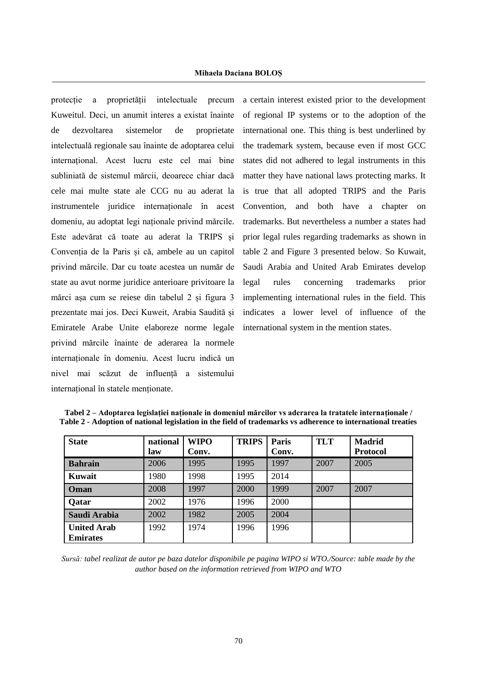protecție a proprietății intelectuale precum Kuweitul. Deci, un anumit interes a existat înainte de dezvoltarea sistemelor de proprietate intelectuală regionale sau înainte de adoptarea celui internațional. Acest lucru este cel mai bine subliniată de sistemul mărcii, deoarece chiar dacă cele mai multe state ale CCG nu au aderat la instrumentele juridice internaționale în acest domeniu, au adoptat legi naționale privind mărcile. Este adevărat că toate au aderat la TRIPS și Convenția de la Paris și că, ambele au un capitol privind mărcile. Dar cu toate acestea un număr de state au avut norme juridice anterioare privitoare la mărci așa cum se reiese din tabelul 2 și figura 3 prezentate mai jos. Deci Kuweit, Arabia Saudită și Emiratele Arabe Unite elaboreze norme legale privind mărcile înainte de aderarea la normele internaționale în domeniu. Acest lucru indică un nivel mai scăzut de influență a sistemului internațional în statele menționate.

.

a certain interest existed prior to the development of regional IP systems or to the adoption of the international one. This thing is best underlined by the trademark system, because even if most GCC states did not adhered to legal instruments in this matter they have national laws protecting marks. It is true that all adopted TRIPS and the Paris Convention, and both have a chapter on trademarks. But nevertheless a number a states had prior legal rules regarding trademarks as shown in table 2 and Figure 3 presented below. So Kuwait, Saudi Arabia and United Arab Emirates develop legal rules concerning trademarks prior implementing international rules in the field. This indicates a lower level of influence of the international system in the mention states.

| <b>State</b>       | national | <b>WIPO</b><br>Conv. | <b>TRIPS</b> | Paris<br>Conv. | <b>TLT</b> | <b>Madrid</b><br><b>Protocol</b> |
|--------------------|----------|----------------------|--------------|----------------|------------|----------------------------------|
|                    | law      |                      |              |                |            |                                  |
| <b>Bahrain</b>     | 2006     | 1995                 | 1995         | 1997           | 2007       | 2005                             |
| Kuwait             | 1980     | 1998                 | 1995         | 2014           |            |                                  |
| Oman               | 2008     | 1997                 | 2000         | 1999           | 2007       | 2007                             |
| <b>Qatar</b>       | 2002     | 1976                 | 1996         | 2000           |            |                                  |
| Saudi Arabia       | 2002     | 1982                 | 2005         | 2004           |            |                                  |
| <b>United Arab</b> | 1992     | 1974                 | 1996         | 1996           |            |                                  |
| <b>Emirates</b>    |          |                      |              |                |            |                                  |

**Tabel 2 – Adoptarea legislației naționale in domeniul mărcilor vs aderarea la tratatele internaționale / Table 2 - Adoption of national legislation in the field of trademarks vs adherence to international treaties**

*Sursă: tabel realizat de autor pe baza datelor disponibile pe pagina WIPO si WTO./Source: table made by the author based on the information retrieved from WIPO and WTO*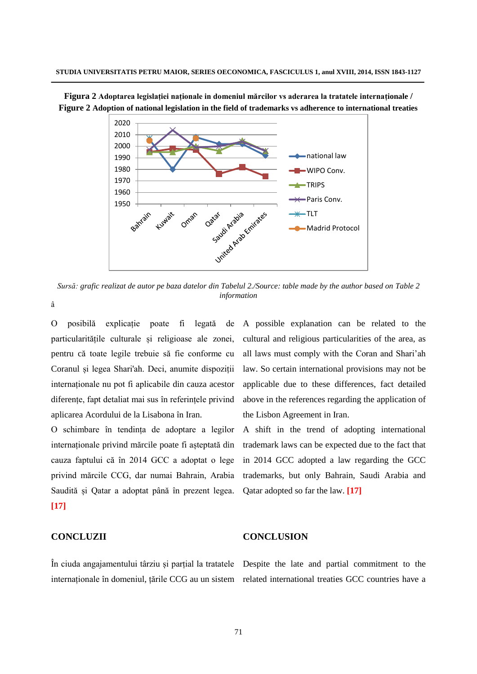

**Figura 2 Adoptarea legislației naționale in domeniul mărcilor vs aderarea la tratatele internaționale / Figure 2 Adoption of national legislation in the field of trademarks vs adherence to international treaties**

*Sursă: grafic realizat de autor pe baza datelor din Tabelul 2./Source: table made by the author based on Table 2 information*

â

O posibilă explicație poate fi legată de particularitățile culturale și religioase ale zonei, pentru că toate legile trebuie să fie conforme cu Coranul și legea Shari'ah. Deci, anumite dispoziții internaționale nu pot fi aplicabile din cauza acestor diferențe, fapt detaliat mai sus în referințele privind aplicarea Acordului de la Lisabona în Iran.

O schimbare în tendința de adoptare a legilor internaționale privind mărcile poate fi așteptată din cauza faptului că în 2014 GCC a adoptat o lege privind mărcile CCG, dar numai Bahrain, Arabia Saudită și Qatar a adoptat până în prezent legea. **[17]**

#### **CONCLUZII**

A possible explanation can be related to the cultural and religious particularities of the area, as all laws must comply with the Coran and Shari'ah law. So certain international provisions may not be applicable due to these differences, fact detailed above in the references regarding the application of the Lisbon Agreement in Iran.

A shift in the trend of adopting international trademark laws can be expected due to the fact that in 2014 GCC adopted a law regarding the GCC trademarks, but only Bahrain, Saudi Arabia and Qatar adopted so far the law. **[17]**

#### **CONCLUSION**

În ciuda angajamentului târziu și parțial la tratatele Despite the late and partial commitment to the internaționale în domeniul, țările CCG au un sistem related international treaties GCC countries have a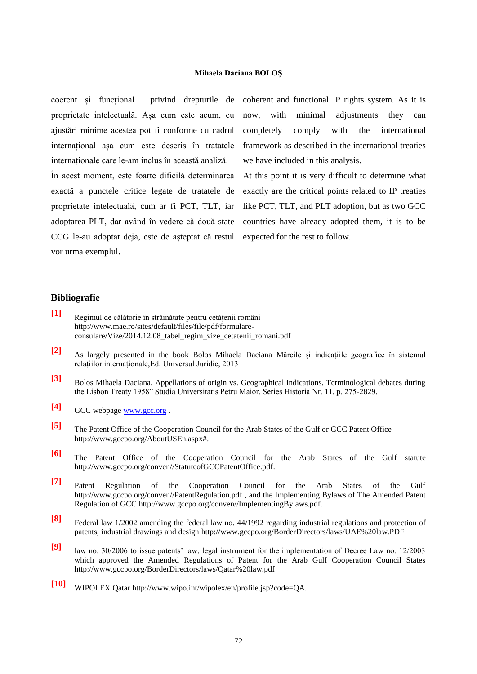coerent și funcțional privind drepturile de proprietate intelectuală. Așa cum este acum, cu ajustări minime acestea pot fi conforme cu cadrul internațional așa cum este descris în tratatele internaționale care le-am inclus în această analiză.

În acest moment, este foarte dificilă determinarea exactă a punctele critice legate de tratatele de proprietate intelectuală, cum ar fi PCT, TLT, iar adoptarea PLT, dar având în vedere că două state CCG le-au adoptat deja, este de așteptat că restul expected for the rest to follow. vor urma exemplul.

coherent and functional IP rights system. As it is now, with minimal adjustments they can completely comply with the international framework as described in the international treaties we have included in this analysis.

At this point it is very difficult to determine what exactly are the critical points related to IP treaties like PCT, TLT, and PLT adoption, but as two GCC countries have already adopted them, it is to be

#### **Bibliografie**

.

- **[1]** Regimul de călătorie în străinătate pentru cetăţenii români [http://www.mae.ro/sites/default/files/file/pdf/formulare](http://www.mae.ro/sites/default/files/file/pdf/formulare-consulare/Vize/2014.12.08_tabel_regim_vize_cetatenii_romani.pdf)[consulare/Vize/2014.12.08\\_tabel\\_regim\\_vize\\_cetatenii\\_romani.pdf](http://www.mae.ro/sites/default/files/file/pdf/formulare-consulare/Vize/2014.12.08_tabel_regim_vize_cetatenii_romani.pdf)
- **[2]** As largely presented in the book Bolos Mihaela Daciana Mărcile și indicațiile geografice în sistemul relațiilor internaționale,Ed. Universul Juridic, 2013
- **[3]** Bolos Mihaela Daciana, Appellations of origin vs. Geographical indications. Terminological debates during the Lisbon Treaty 1958" Studia Universitatis Petru Maior. Series Historia Nr. 11, p. 275-2829.
- **[4]** GCC webpage [www.gcc.org](http://www.gcc.org/) .
- **[5]** The Patent Office of the Cooperation Council for the Arab States of the Gulf or GCC Patent Office [http://www.gccpo.org/AboutUSEn.aspx#.](http://www.gccpo.org/AboutUSEn.aspx)
- **[6]** The Patent Office of the Cooperation Council for the Arab States of the Gulf statute [http://www.gccpo.org/conven//StatuteofGCCPatentOffice.pdf.](http://www.gccpo.org/conven/StatuteofGCCPatentOffice.pdf)
- **[7]** Patent Regulation of the Cooperation Council for the Arab States of the Gulf [http://www.gccpo.org/conven//PatentRegulation.pdf](http://www.gccpo.org/conven/PatentRegulation.pdf) , and the Implementing Bylaws of The Amended Patent Regulation of GCC [http://www.gccpo.org/conven//ImplementingBylaws.pdf.](http://www.gccpo.org/conven/ImplementingBylaws.pdf)
- **[8]** Federal law 1/2002 amending the federal law no. 44/1992 regarding industrial regulations and protection of patents, industrial drawings and design <http://www.gccpo.org/BorderDirectors/laws/UAE%20law.PDF>
- **[9]** law no. 30/2006 to issue patents' law, legal instrument for the implementation of Decree Law no. 12/2003 which approved the Amended Regulations of Patent for the Arab Gulf Cooperation Council States <http://www.gccpo.org/BorderDirectors/laws/Qatar%20law.pdf>
- **[10]** WIPOLEX Qatar [http://www.wipo.int/wipolex/en/profile.jsp?code=QA.](http://www.wipo.int/wipolex/en/profile.jsp?code=QA)